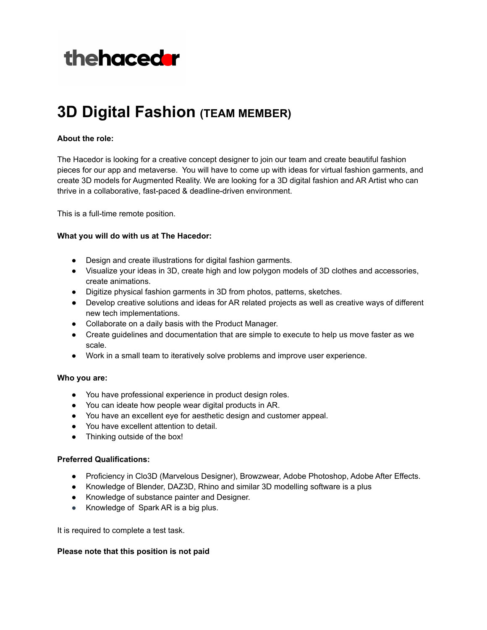# thehacedar

## **3D Digital Fashion (TEAM MEMBER)**

### **About the role:**

The Hacedor is looking for a creative concept designer to join our team and create beautiful fashion pieces for our app and metaverse. You will have to come up with ideas for virtual fashion garments, and create 3D models for Augmented Reality. We are looking for a 3D digital fashion and AR Artist who can thrive in a collaborative, fast-paced & deadline-driven environment.

This is a full-time remote position.

#### **What you will do with us at The Hacedor:**

- Design and create illustrations for digital fashion garments.
- Visualize your ideas in 3D, create high and low polygon models of 3D clothes and accessories, create animations.
- Digitize physical fashion garments in 3D from photos, patterns, sketches.
- Develop creative solutions and ideas for AR related projects as well as creative ways of different new tech implementations.
- Collaborate on a daily basis with the Product Manager.
- Create guidelines and documentation that are simple to execute to help us move faster as we scale.
- Work in a small team to iteratively solve problems and improve user experience.

#### **Who you are:**

- You have professional experience in product design roles.
- You can ideate how people wear digital products in AR.
- You have an excellent eye for aesthetic design and customer appeal.
- You have excellent attention to detail.
- Thinking outside of the box!

#### **Preferred Qualifications:**

- Proficiency in Clo3D (Marvelous Designer), Browzwear, Adobe Photoshop, Adobe After Effects.
- Knowledge of Blender, DAZ3D, Rhino and similar 3D modelling software is a plus
- Knowledge of substance painter and Designer.
- Knowledge of Spark AR is a big plus.

It is required to complete a test task.

#### **Please note that this position is not paid**